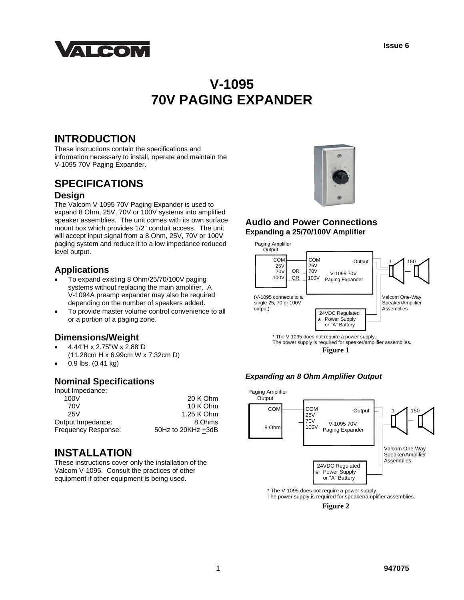

# **V-1095 70V PAGING EXPANDER**

# **INTRODUCTION**

These instructions contain the specifications and information necessary to install, operate and maintain the V-1095 70V Paging Expander.

# **SPECIFICATIONS**

#### **Design**

The Valcom V-1095 70V Paging Expander is used to expand 8 Ohm, 25V, 70V or 100V systems into amplified speaker assemblies. The unit comes with its own surface mount box which provides 1/2" conduit access. The unit will accept input signal from a 8 Ohm, 25V, 70V or 100V paging system and reduce it to a low impedance reduced level output.

## **Applications**

- To expand existing 8 Ohm/25/70/100V paging systems without replacing the main amplifier. A V-1094A preamp expander may also be required depending on the number of speakers added.
- To provide master volume control convenience to all or a portion of a paging zone.

### **Dimensions/Weight**

- 4.44"H x 2.75"W x 2.88"D
- (11.28cm H x 6.99cm W x 7.32cm D)
- 0.9 lbs. (0.41 kg)

## **Nominal Specifications**

| 20 K Ohm           |
|--------------------|
| 10 K Ohm           |
| 1.25 K Ohm         |
| 8 Ohms             |
| 50Hz to 20KHz +3dB |
|                    |

# **INSTALLATION**

These instructions cover only the installation of the Valcom V-1095. Consult the practices of other equipment if other equipment is being used.



#### **Audio and Power Connections Expanding a 25/70/100V Amplifier**



**Figure 1** 

#### *Expanding an 8 Ohm Amplifier Output*